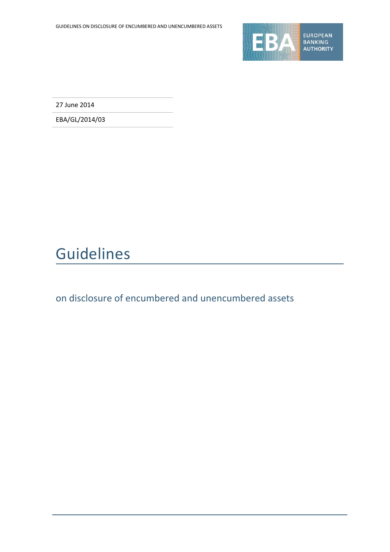

27 June 2014

EBA/GL/2014/03

## Guidelines

on disclosure of encumbered and unencumbered assets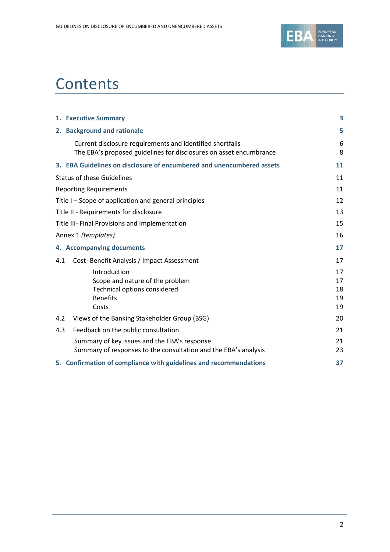

## **Contents**

|     | 1. Executive Summary                                                                                                            | 3                          |
|-----|---------------------------------------------------------------------------------------------------------------------------------|----------------------------|
|     | 2. Background and rationale                                                                                                     | 5                          |
|     | Current disclosure requirements and identified shortfalls<br>The EBA's proposed guidelines for disclosures on asset encumbrance | 6<br>8                     |
|     | 3. EBA Guidelines on disclosure of encumbered and unencumbered assets                                                           | 11                         |
|     | <b>Status of these Guidelines</b>                                                                                               | 11                         |
|     | <b>Reporting Requirements</b>                                                                                                   | 11                         |
|     | Title I – Scope of application and general principles                                                                           | 12                         |
|     | Title II - Requirements for disclosure                                                                                          | 13                         |
|     | Title III- Final Provisions and Implementation                                                                                  | 15                         |
|     | Annex 1 (templates)                                                                                                             | 16                         |
|     | 4. Accompanying documents                                                                                                       | 17                         |
| 4.1 | Cost-Benefit Analysis / Impact Assessment                                                                                       | 17                         |
|     | Introduction<br>Scope and nature of the problem<br>Technical options considered<br><b>Benefits</b><br>Costs                     | 17<br>17<br>18<br>19<br>19 |
| 4.2 | Views of the Banking Stakeholder Group (BSG)                                                                                    | 20                         |
| 4.3 | Feedback on the public consultation                                                                                             | 21                         |
|     | Summary of key issues and the EBA's response<br>Summary of responses to the consultation and the EBA's analysis                 | 21<br>23                   |
|     | 5. Confirmation of compliance with guidelines and recommendations                                                               | 37                         |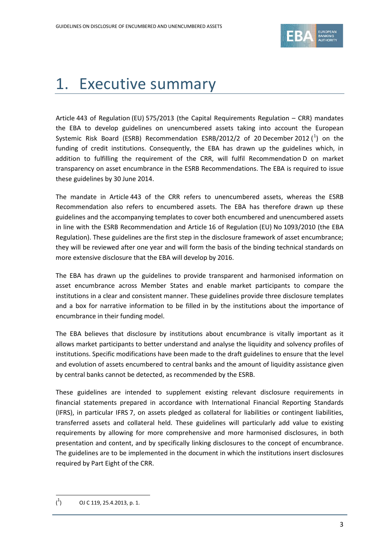

## 1. Executive summary

Article 443 of Regulation (EU) 575/2013 (the Capital Requirements Regulation – CRR) mandates the EBA to develop guidelines on unencumbered assets taking into account the European Systemic Risk Board (ESRB) Recommendation ESRB/20[1](#page-2-0)2/2 of 20 December 2012  $(^1)$  on the funding of credit institutions. Consequently, the EBA has drawn up the guidelines which, in addition to fulfilling the requirement of the CRR, will fulfil Recommendation D on market transparency on asset encumbrance in the ESRB Recommendations. The EBA is required to issue these guidelines by 30 June 2014.

The mandate in Article 443 of the CRR refers to unencumbered assets, whereas the ESRB Recommendation also refers to encumbered assets. The EBA has therefore drawn up these guidelines and the accompanying templates to cover both encumbered and unencumbered assets in line with the ESRB Recommendation and Article 16 of Regulation (EU) No 1093/2010 (the EBA Regulation). These guidelines are the first step in the disclosure framework of asset encumbrance; they will be reviewed after one year and will form the basis of the binding technical standards on more extensive disclosure that the EBA will develop by 2016.

The EBA has drawn up the guidelines to provide transparent and harmonised information on asset encumbrance across Member States and enable market participants to compare the institutions in a clear and consistent manner. These guidelines provide three disclosure templates and a box for narrative information to be filled in by the institutions about the importance of encumbrance in their funding model.

The EBA believes that disclosure by institutions about encumbrance is vitally important as it allows market participants to better understand and analyse the liquidity and solvency profiles of institutions. Specific modifications have been made to the draft guidelines to ensure that the level and evolution of assets encumbered to central banks and the amount of liquidity assistance given by central banks cannot be detected, as recommended by the ESRB.

These guidelines are intended to supplement existing relevant disclosure requirements in financial statements prepared in accordance with International Financial Reporting Standards (IFRS), in particular IFRS 7, on assets pledged as collateral for liabilities or contingent liabilities, transferred assets and collateral held. These guidelines will particularly add value to existing requirements by allowing for more comprehensive and more harmonised disclosures, in both presentation and content, and by specifically linking disclosures to the concept of encumbrance. The guidelines are to be implemented in the document in which the institutions insert disclosures required by Part Eight of the CRR.

 $\overline{a}$ 

<span id="page-2-0"></span> $\binom{1}{1}$ ) OJ C 119, 25.4.2013, p. 1.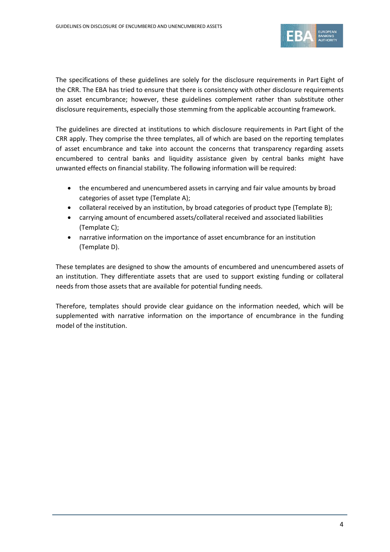

The specifications of these guidelines are solely for the disclosure requirements in Part Eight of the CRR. The EBA has tried to ensure that there is consistency with other disclosure requirements on asset encumbrance; however, these guidelines complement rather than substitute other disclosure requirements, especially those stemming from the applicable accounting framework.

The guidelines are directed at institutions to which disclosure requirements in Part Eight of the CRR apply. They comprise the three templates, all of which are based on the reporting templates of asset encumbrance and take into account the concerns that transparency regarding assets encumbered to central banks and liquidity assistance given by central banks might have unwanted effects on financial stability. The following information will be required:

- the encumbered and unencumbered assets in carrying and fair value amounts by broad categories of asset type (Template A);
- collateral received by an institution, by broad categories of product type (Template B);
- carrying amount of encumbered assets/collateral received and associated liabilities (Template C);
- narrative information on the importance of asset encumbrance for an institution (Template D).

These templates are designed to show the amounts of encumbered and unencumbered assets of an institution. They differentiate assets that are used to support existing funding or collateral needs from those assets that are available for potential funding needs.

Therefore, templates should provide clear guidance on the information needed, which will be supplemented with narrative information on the importance of encumbrance in the funding model of the institution.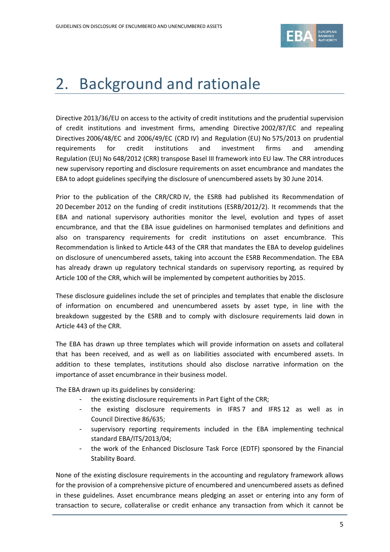

## 2. Background and rationale

Directive 2013/36/EU on access to the activity of credit institutions and the prudential supervision of credit institutions and investment firms, amending Directive 2002/87/EC and repealing Directives 2006/48/EC and 2006/49/EC (CRD IV) and Regulation (EU) No 575/2013 on prudential requirements for credit institutions and investment firms and amending Regulation (EU) No 648/2012 (CRR) transpose Basel III framework into EU law. The CRR introduces new supervisory reporting and disclosure requirements on asset encumbrance and mandates the EBA to adopt guidelines specifying the disclosure of unencumbered assets by 30 June 2014.

Prior to the publication of the CRR/CRD IV, the ESRB had published its Recommendation of 20 December 2012 on the funding of credit institutions (ESRB/2012/2). It recommends that the EBA and national supervisory authorities monitor the level, evolution and types of asset encumbrance, and that the EBA issue guidelines on harmonised templates and definitions and also on transparency requirements for credit institutions on asset encumbrance. This Recommendation is linked to Article 443 of the CRR that mandates the EBA to develop guidelines on disclosure of unencumbered assets, taking into account the ESRB Recommendation. The EBA has already drawn up regulatory technical standards on supervisory reporting, as required by Article 100 of the CRR, which will be implemented by competent authorities by 2015.

These disclosure guidelines include the set of principles and templates that enable the disclosure of information on encumbered and unencumbered assets by asset type, in line with the breakdown suggested by the ESRB and to comply with disclosure requirements laid down in Article 443 of the CRR.

The EBA has drawn up three templates which will provide information on assets and collateral that has been received, and as well as on liabilities associated with encumbered assets. In addition to these templates, institutions should also disclose narrative information on the importance of asset encumbrance in their business model.

The EBA drawn up its guidelines by considering:

- the existing disclosure requirements in Part Eight of the CRR;
- the existing disclosure requirements in IFRS 7 and IFRS 12 as well as in Council Directive 86/635;
- supervisory reporting requirements included in the EBA implementing technical standard EBA/ITS/2013/04;
- the work of the Enhanced Disclosure Task Force (EDTF) sponsored by the Financial Stability Board.

None of the existing disclosure requirements in the accounting and regulatory framework allows for the provision of a comprehensive picture of encumbered and unencumbered assets as defined in these guidelines. Asset encumbrance means pledging an asset or entering into any form of transaction to secure, collateralise or credit enhance any transaction from which it cannot be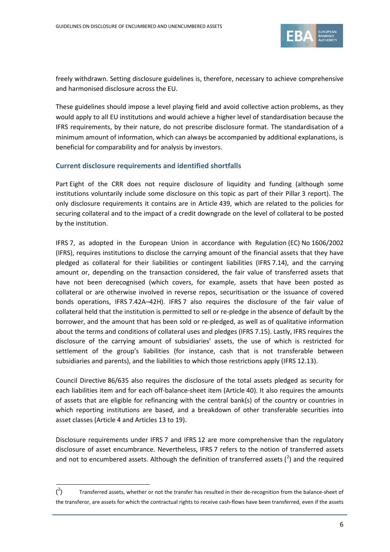

freely withdrawn. Setting disclosure guidelines is, therefore, necessary to achieve comprehensive and harmonised disclosure across the EU.

These guidelines should impose a level playing field and avoid collective action problems, as they would apply to all EU institutions and would achieve a higher level of standardisation because the IFRS requirements, by their nature, do not prescribe disclosure format. The standardisation of a minimum amount of information, which can always be accompanied by additional explanations, is beneficial for comparability and for analysis by investors.

### **Current disclosure requirements and identified shortfalls**

Part Eight of the CRR does not require disclosure of liquidity and funding (although some institutions voluntarily include some disclosure on this topic as part of their Pillar 3 report). The only disclosure requirements it contains are in Article 439, which are related to the policies for securing collateral and to the impact of a credit downgrade on the level of collateral to be posted by the institution.

IFRS 7, as adopted in the European Union in accordance with Regulation (EC) No 1606/2002 (IFRS), requires institutions to disclose the carrying amount of the financial assets that they have pledged as collateral for their liabilities or contingent liabilities (IFRS 7.14), and the carrying amount or, depending on the transaction considered, the fair value of transferred assets that have not been derecognised (which covers, for example, assets that have been posted as collateral or are otherwise involved in reverse repos, securitisation or the issuance of covered bonds operations, IFRS 7.42A–42H). IFRS 7 also requires the disclosure of the fair value of collateral held that the institution is permitted to sell or re-pledge in the absence of default by the borrower, and the amount that has been sold or re-pledged, as well as of qualitative information about the terms and conditions of collateral uses and pledges (IFRS 7.15). Lastly, IFRS requires the disclosure of the carrying amount of subsidiaries' assets, the use of which is restricted for settlement of the group's liabilities (for instance, cash that is not transferable between subsidiaries and parents), and the liabilities to which those restrictions apply (IFRS 12.13).

Council Directive 86/635 also requires the disclosure of the total assets pledged as security for each liabilities item and for each off-balance-sheet item (Article 40). It also requires the amounts of assets that are eligible for refinancing with the central bank(s) of the country or countries in which reporting institutions are based, and a breakdown of other transferable securities into asset classes (Article 4 and Articles 13 to 19).

Disclosure requirements under IFRS 7 and IFRS 12 are more comprehensive than the regulatory disclosure of asset encumbrance. Nevertheless, IFRS 7 refers to the notion of transferred assets and not to encumbered assets. Although the definition of transferred assets  $(^2)$  $(^2)$  $(^2)$  and the required

 $\overline{a}$ 

<span id="page-5-0"></span> $($ <sup>2</sup> ) Transferred assets, whether or not the transfer has resulted in their de-recognition from the balance-sheet of the transferor, are assets for which the contractual rights to receive cash-flows have been transferred, even if the assets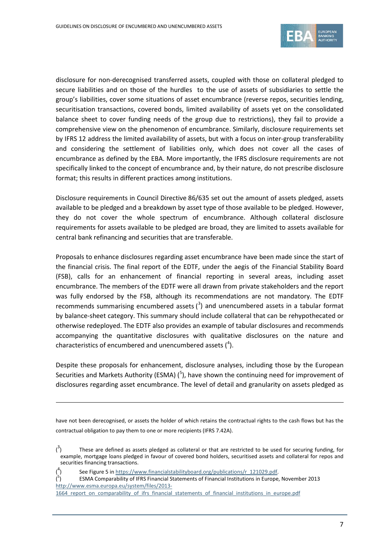

disclosure for non-derecognised transferred assets, coupled with those on collateral pledged to secure liabilities and on those of the hurdles to the use of assets of subsidiaries to settle the group's liabilities, cover some situations of asset encumbrance (reverse repos, securities lending, securitisation transactions, covered bonds, limited availability of assets yet on the consolidated balance sheet to cover funding needs of the group due to restrictions), they fail to provide a comprehensive view on the phenomenon of encumbrance. Similarly, disclosure requirements set by IFRS 12 address the limited availability of assets, but with a focus on inter-group transferability and considering the settlement of liabilities only, which does not cover all the cases of encumbrance as defined by the EBA. More importantly, the IFRS disclosure requirements are not specifically linked to the concept of encumbrance and, by their nature, do not prescribe disclosure format; this results in different practices among institutions.

Disclosure requirements in Council Directive 86/635 set out the amount of assets pledged, assets available to be pledged and a breakdown by asset type of those available to be pledged. However, they do not cover the whole spectrum of encumbrance. Although collateral disclosure requirements for assets available to be pledged are broad, they are limited to assets available for central bank refinancing and securities that are transferable.

Proposals to enhance disclosures regarding asset encumbrance have been made since the start of the financial crisis. The final report of the EDTF, under the aegis of the Financial Stability Board (FSB), calls for an enhancement of financial reporting in several areas, including asset encumbrance. The members of the EDTF were all drawn from private stakeholders and the report was fully endorsed by the FSB, although its recommendations are not mandatory. The EDTF recommends summarising encumbered assets  $(3)$  $(3)$  $(3)$  and unencumbered assets in a tabular format by balance-sheet category. This summary should include collateral that can be rehypothecated or otherwise redeployed. The EDTF also provides an example of tabular disclosures and recommends accompanying the quantitative disclosures with qualitative disclosures on the nature and characteristics of encumbered and unencumbered assets  $(^4)$  $(^4)$  $(^4)$ .

Despite these proposals for enhancement, disclosure analyses, including those by the European Securities and Markets Authority (ESMA)  $(5)$  $(5)$  $(5)$ , have shown the continuing need for improvement of disclosures regarding asset encumbrance. The level of detail and granularity on assets pledged as

have not been derecognised, or assets the holder of which retains the contractual rights to the cash flows but has the contractual obligation to pay them to one or more recipients (IFRS 7.42A).

( 4

**.** 

<span id="page-6-0"></span> $\int_0^3$ ) These are defined as assets pledged as collateral or that are restricted to be used for securing funding, for example, mortgage loans pledged in favour of covered bond holders, securitised assets and collateral for repos and securities financing transactions.

See Figure 5 i[n https://www.financialstabilityboard.org/publications/r\\_121029.pdf.](https://www.financialstabilityboard.org/publications/r_121029.pdf)

<span id="page-6-2"></span><span id="page-6-1"></span><sup>(</sup> 5 ) ESMA Comparability of IFRS Financial Statements of Financial Institutions in Europe, November 2013 [http://www.esma.europa.eu/system/files/2013-](http://www.esma.europa.eu/system/files/2013-1664_report_on_comparability_of_ifrs_financial_statements_of_financial_institutions_in_europe.pdf)

<sup>1664</sup> report on comparability of ifrs financial statements of financial institutions in europe.pdf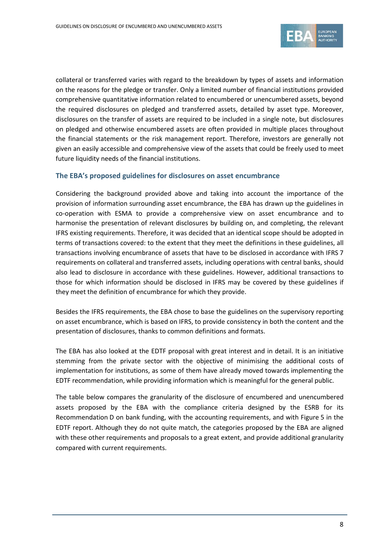

collateral or transferred varies with regard to the breakdown by types of assets and information on the reasons for the pledge or transfer. Only a limited number of financial institutions provided comprehensive quantitative information related to encumbered or unencumbered assets, beyond the required disclosures on pledged and transferred assets, detailed by asset type. Moreover, disclosures on the transfer of assets are required to be included in a single note, but disclosures on pledged and otherwise encumbered assets are often provided in multiple places throughout the financial statements or the risk management report. Therefore, investors are generally not given an easily accessible and comprehensive view of the assets that could be freely used to meet future liquidity needs of the financial institutions.

#### **The EBA's proposed guidelines for disclosures on asset encumbrance**

Considering the background provided above and taking into account the importance of the provision of information surrounding asset encumbrance, the EBA has drawn up the guidelines in co-operation with ESMA to provide a comprehensive view on asset encumbrance and to harmonise the presentation of relevant disclosures by building on, and completing, the relevant IFRS existing requirements. Therefore, it was decided that an identical scope should be adopted in terms of transactions covered: to the extent that they meet the definitions in these guidelines, all transactions involving encumbrance of assets that have to be disclosed in accordance with IFRS 7 requirements on collateral and transferred assets, including operations with central banks, should also lead to disclosure in accordance with these guidelines. However, additional transactions to those for which information should be disclosed in IFRS may be covered by these guidelines if they meet the definition of encumbrance for which they provide.

Besides the IFRS requirements, the EBA chose to base the guidelines on the supervisory reporting on asset encumbrance, which is based on IFRS, to provide consistency in both the content and the presentation of disclosures, thanks to common definitions and formats.

The EBA has also looked at the EDTF proposal with great interest and in detail. It is an initiative stemming from the private sector with the objective of minimising the additional costs of implementation for institutions, as some of them have already moved towards implementing the EDTF recommendation, while providing information which is meaningful for the general public.

The table below compares the granularity of the disclosure of encumbered and unencumbered assets proposed by the EBA with the compliance criteria designed by the ESRB for its Recommendation D on bank funding, with the accounting requirements, and with Figure 5 in the EDTF report. Although they do not quite match, the categories proposed by the EBA are aligned with these other requirements and proposals to a great extent, and provide additional granularity compared with current requirements.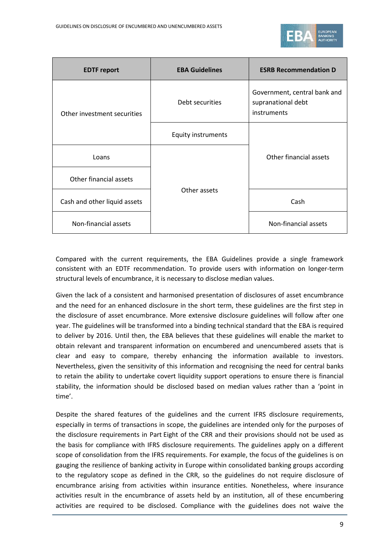

| <b>EDTF</b> report           | <b>EBA Guidelines</b>     | <b>ESRB Recommendation D</b>                                      |
|------------------------------|---------------------------|-------------------------------------------------------------------|
| Other investment securities  | Debt securities           | Government, central bank and<br>supranational debt<br>instruments |
|                              | <b>Equity instruments</b> |                                                                   |
| Loans                        |                           | Other financial assets                                            |
| Other financial assets       |                           |                                                                   |
| Cash and other liquid assets | Other assets              | Cash                                                              |
| Non-financial assets         |                           | Non-financial assets                                              |

Compared with the current requirements, the EBA Guidelines provide a single framework consistent with an EDTF recommendation. To provide users with information on longer-term structural levels of encumbrance, it is necessary to disclose median values.

Given the lack of a consistent and harmonised presentation of disclosures of asset encumbrance and the need for an enhanced disclosure in the short term, these guidelines are the first step in the disclosure of asset encumbrance. More extensive disclosure guidelines will follow after one year. The guidelines will be transformed into a binding technical standard that the EBA is required to deliver by 2016. Until then, the EBA believes that these guidelines will enable the market to obtain relevant and transparent information on encumbered and unencumbered assets that is clear and easy to compare, thereby enhancing the information available to investors. Nevertheless, given the sensitivity of this information and recognising the need for central banks to retain the ability to undertake covert liquidity support operations to ensure there is financial stability, the information should be disclosed based on median values rather than a 'point in time'.

Despite the shared features of the guidelines and the current IFRS disclosure requirements, especially in terms of transactions in scope, the guidelines are intended only for the purposes of the disclosure requirements in Part Eight of the CRR and their provisions should not be used as the basis for compliance with IFRS disclosure requirements. The guidelines apply on a different scope of consolidation from the IFRS requirements. For example, the focus of the guidelines is on gauging the resilience of banking activity in Europe within consolidated banking groups according to the regulatory scope as defined in the CRR, so the guidelines do not require disclosure of encumbrance arising from activities within insurance entities. Nonetheless, where insurance activities result in the encumbrance of assets held by an institution, all of these encumbering activities are required to be disclosed. Compliance with the guidelines does not waive the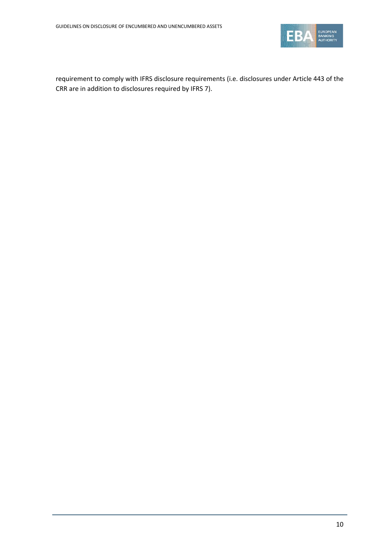

requirement to comply with IFRS disclosure requirements (i.e. disclosures under Article 443 of the CRR are in addition to disclosures required by IFRS 7).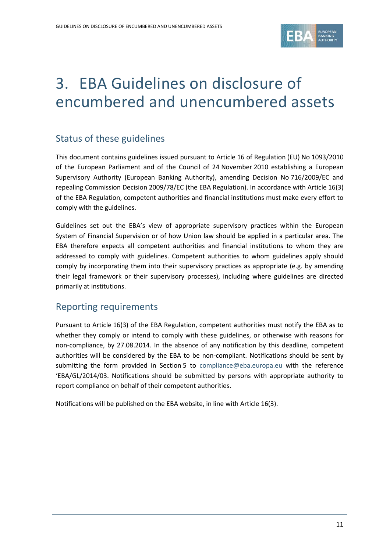

# 3. EBA Guidelines on disclosure of encumbered and unencumbered assets

## Status of these guidelines

This document contains guidelines issued pursuant to Article 16 of Regulation (EU) No 1093/2010 of the European Parliament and of the Council of 24 November 2010 establishing a European Supervisory Authority (European Banking Authority), amending Decision No 716/2009/EC and repealing Commission Decision 2009/78/EC (the EBA Regulation). In accordance with Article 16(3) of the EBA Regulation, competent authorities and financial institutions must make every effort to comply with the guidelines.

Guidelines set out the EBA's view of appropriate supervisory practices within the European System of Financial Supervision or of how Union law should be applied in a particular area. The EBA therefore expects all competent authorities and financial institutions to whom they are addressed to comply with guidelines. Competent authorities to whom guidelines apply should comply by incorporating them into their supervisory practices as appropriate (e.g. by amending their legal framework or their supervisory processes), including where guidelines are directed primarily at institutions.

### Reporting requirements

Pursuant to Article 16(3) of the EBA Regulation, competent authorities must notify the EBA as to whether they comply or intend to comply with these guidelines, or otherwise with reasons for non-compliance, by 27.08.2014. In the absence of any notification by this deadline, competent authorities will be considered by the EBA to be non-compliant. Notifications should be sent by submitting the form provided in Section 5 to [compliance@eba.europa.eu](mailto:compliance@eba.europa.eu) with the reference 'EBA/GL/2014/03. Notifications should be submitted by persons with appropriate authority to report compliance on behalf of their competent authorities.

Notifications will be published on the EBA website, in line with Article 16(3).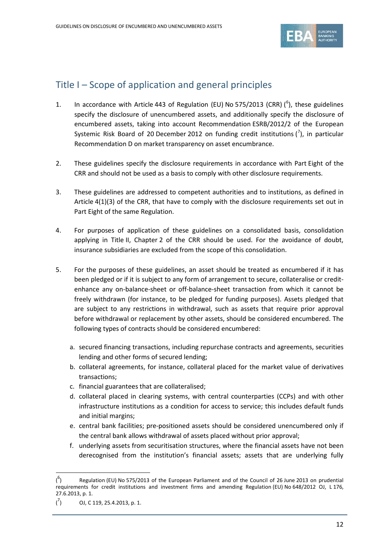

### Title I – Scope of application and general principles

- 1. In accordance with Article 443 of Regulation (EU) No 575/2013 (CRR)  $(^6$  $(^6$ ), these guidelines specify the disclosure of unencumbered assets, and additionally specify the disclosure of encumbered assets, taking into account Recommendation ESRB/2012/2 of the European Systemic Risk Board of 20 December 2012 on funding credit institutions  $\binom{7}{1}$  $\binom{7}{1}$  $\binom{7}{1}$ , in particular Recommendation D on market transparency on asset encumbrance.
- 2. These guidelines specify the disclosure requirements in accordance with Part Eight of the CRR and should not be used as a basis to comply with other disclosure requirements.
- 3. These guidelines are addressed to competent authorities and to institutions, as defined in Article 4(1)(3) of the CRR, that have to comply with the disclosure requirements set out in Part Eight of the same Regulation.
- 4. For purposes of application of these guidelines on a consolidated basis, consolidation applying in Title II, Chapter 2 of the CRR should be used. For the avoidance of doubt, insurance subsidiaries are excluded from the scope of this consolidation.
- 5. For the purposes of these guidelines, an asset should be treated as encumbered if it has been pledged or if it is subject to any form of arrangement to secure, collateralise or creditenhance any on-balance-sheet or off-balance-sheet transaction from which it cannot be freely withdrawn (for instance, to be pledged for funding purposes). Assets pledged that are subject to any restrictions in withdrawal, such as assets that require prior approval before withdrawal or replacement by other assets, should be considered encumbered. The following types of contracts should be considered encumbered:
	- a. secured financing transactions, including repurchase contracts and agreements, securities lending and other forms of secured lending;
	- b. collateral agreements, for instance, collateral placed for the market value of derivatives transactions;
	- c. financial guarantees that are collateralised;
	- d. collateral placed in clearing systems, with central counterparties (CCPs) and with other infrastructure institutions as a condition for access to service; this includes default funds and initial margins;
	- e. central bank facilities; pre-positioned assets should be considered unencumbered only if the central bank allows withdrawal of assets placed without prior approval;
	- f. underlying assets from securitisation structures, where the financial assets have not been derecognised from the institution's financial assets; assets that are underlying fully

 $\overline{a}$ 

<span id="page-11-0"></span> $($ <sup>6</sup> ) Regulation (EU) No 575/2013 of the European Parliament and of the Council of 26 June 2013 on prudential requirements for credit institutions and investment firms and amending Regulation (EU) No 648/2012 OJ, L 176, 27.6.2013, p. 1.

<span id="page-11-1"></span> $\mathcal{r}$ ) OJ, C 119, 25.4.2013, p. 1.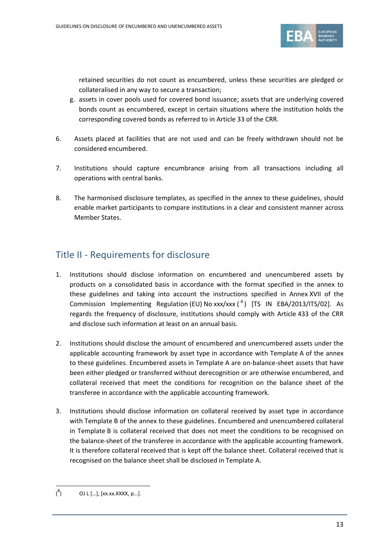

retained securities do not count as encumbered, unless these securities are pledged or collateralised in any way to secure a transaction;

- g. assets in cover pools used for covered bond issuance; assets that are underlying covered bonds count as encumbered, except in certain situations where the institution holds the corresponding covered bonds as referred to in Article 33 of the CRR.
- 6. Assets placed at facilities that are not used and can be freely withdrawn should not be considered encumbered.
- 7. Institutions should capture encumbrance arising from all transactions including all operations with central banks.
- 8. The harmonised disclosure templates, as specified in the annex to these guidelines, should enable market participants to compare institutions in a clear and consistent manner across Member States.

## Title II - Requirements for disclosure

- 1. Institutions should disclose information on encumbered and unencumbered assets by products on a consolidated basis in accordance with the format specified in the annex to these guidelines and taking into account the instructions specified in Annex XVII of the Commission Implementing Regulation (EU) No xxx/xxx ( $^8$  $^8$ ) [TS IN EBA/2013/ITS/02]. As regards the frequency of disclosure, institutions should comply with Article 433 of the CRR and disclose such information at least on an annual basis.
- 2. Institutions should disclose the amount of encumbered and unencumbered assets under the applicable accounting framework by asset type in accordance with Template A of the annex to these guidelines. Encumbered assets in Template A are on-balance-sheet assets that have been either pledged or transferred without derecognition or are otherwise encumbered, and collateral received that meet the conditions for recognition on the balance sheet of the transferee in accordance with the applicable accounting framework.
- 3. Institutions should disclose information on collateral received by asset type in accordance with Template B of the annex to these guidelines. Encumbered and unencumbered collateral in Template B is collateral received that does not meet the conditions to be recognised on the balance-sheet of the transferee in accordance with the applicable accounting framework. It is therefore collateral received that is kept off the balance sheet. Collateral received that is recognised on the balance sheet shall be disclosed in Template A.

 $\overline{a}$ 

<span id="page-12-0"></span> $($ <sup>8</sup> ) OJ L […], [xx.xx.XXXX, p…].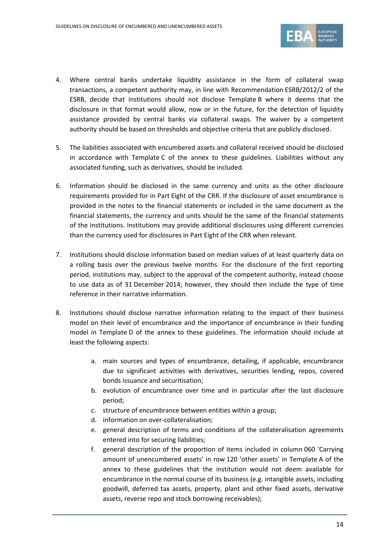

- 4. Where central banks undertake liquidity assistance in the form of collateral swap transactions, a competent authority may, in line with Recommendation ESRB/2012/2 of the ESRB, decide that institutions should not disclose Template B where it deems that the disclosure in that format would allow, now or in the future, for the detection of liquidity assistance provided by central banks via collateral swaps. The waiver by a competent authority should be based on thresholds and objective criteria that are publicly disclosed.
- 5. The liabilities associated with encumbered assets and collateral received should be disclosed in accordance with Template C of the annex to these guidelines. Liabilities without any associated funding, such as derivatives, should be included.
- 6. Information should be disclosed in the same currency and units as the other disclosure requirements provided for in Part Eight of the CRR. If the disclosure of asset encumbrance is provided in the notes to the financial statements or included in the same document as the financial statements, the currency and units should be the same of the financial statements of the institutions. Institutions may provide additional disclosures using different currencies than the currency used for disclosures in Part Eight of the CRR when relevant.
- 7. Institutions should disclose information based on median values of at least quarterly data on a rolling basis over the previous twelve months. For the disclosure of the first reporting period, institutions may, subject to the approval of the competent authority, instead choose to use data as of 31 December 2014; however, they should then include the type of time reference in their narrative information.
- 8. Institutions should disclose narrative information relating to the impact of their business model on their level of encumbrance and the importance of encumbrance in their funding model in Template D of the annex to these guidelines. The information should include at least the following aspects:
	- a. main sources and types of encumbrance, detailing, if applicable, encumbrance due to significant activities with derivatives, securities lending, repos, covered bonds issuance and securitisation;
	- b. evolution of encumbrance over time and in particular after the last disclosure period;
	- c. structure of encumbrance between entities within a group;
	- d. information on over-collateralisation;
	- e. general description of terms and conditions of the collateralisation agreements entered into for securing liabilities;
	- f. general description of the proportion of items included in column 060 'Carrying amount of unencumbered assets' in row 120 'other assets' in Template A of the annex to these guidelines that the institution would not deem available for encumbrance in the normal course of its business (e.g. intangible assets, including goodwill, deferred tax assets, property, plant and other fixed assets, derivative assets, reverse repo and stock borrowing receivables);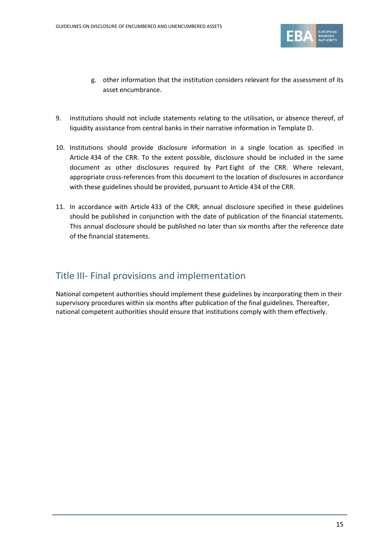

- g. other information that the institution considers relevant for the assessment of its asset encumbrance.
- 9. Institutions should not include statements relating to the utilisation, or absence thereof, of liquidity assistance from central banks in their narrative information in Template D.
- 10. Institutions should provide disclosure information in a single location as specified in Article 434 of the CRR. To the extent possible, disclosure should be included in the same document as other disclosures required by Part Eight of the CRR. Where relevant, appropriate cross-references from this document to the location of disclosures in accordance with these guidelines should be provided, pursuant to Article 434 of the CRR.
- 11. In accordance with Article 433 of the CRR, annual disclosure specified in these guidelines should be published in conjunction with the date of publication of the financial statements. This annual disclosure should be published no later than six months after the reference date of the financial statements.

### Title III- Final provisions and implementation

National competent authorities should implement these guidelines by incorporating them in their supervisory procedures within six months after publication of the final guidelines. Thereafter, national competent authorities should ensure that institutions comply with them effectively.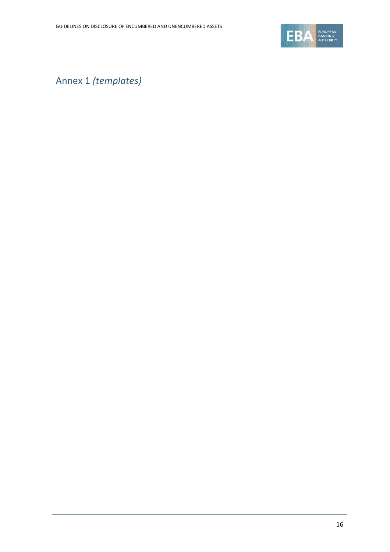

Annex 1 *(templates)*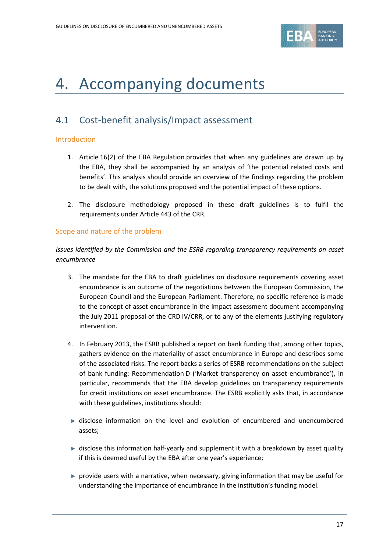

## 4. Accompanying documents

## 4.1 Cost-benefit analysis/Impact assessment

#### Introduction

- 1. Article 16(2) of the EBA Regulation provides that when any guidelines are drawn up by the EBA, they shall be accompanied by an analysis of 'the potential related costs and benefits'. This analysis should provide an overview of the findings regarding the problem to be dealt with, the solutions proposed and the potential impact of these options.
- 2. The disclosure methodology proposed in these draft guidelines is to fulfil the requirements under Article 443 of the CRR.

### Scope and nature of the problem

*Issues identified by the Commission and the ESRB regarding transparency requirements on asset encumbrance*

- 3. The mandate for the EBA to draft guidelines on disclosure requirements covering asset encumbrance is an outcome of the negotiations between the European Commission, the European Council and the European Parliament. Therefore, no specific reference is made to the concept of asset encumbrance in the impact assessment document accompanying the July 2011 proposal of the CRD IV/CRR, or to any of the elements justifying regulatory intervention.
- 4. In February 2013, the ESRB published a report on bank funding that, among other topics, gathers evidence on the materiality of asset encumbrance in Europe and describes some of the associated risks. The report backs a series of ESRB recommendations on the subject of bank funding: Recommendation D ('Market transparency on asset encumbrance'), in particular, recommends that the EBA develop guidelines on transparency requirements for credit institutions on asset encumbrance. The ESRB explicitly asks that, in accordance with these guidelines, institutions should:
- ► disclose information on the level and evolution of encumbered and unencumbered assets;
- ► disclose this information half-yearly and supplement it with a breakdown by asset quality if this is deemed useful by the EBA after one year's experience;
- ► provide users with a narrative, when necessary, giving information that may be useful for understanding the importance of encumbrance in the institution's funding model.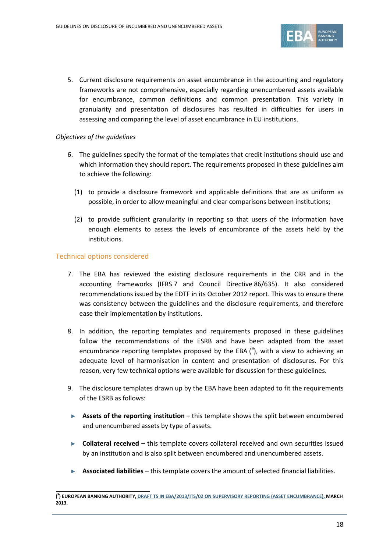

5. Current disclosure requirements on asset encumbrance in the accounting and regulatory frameworks are not comprehensive, especially regarding unencumbered assets available for encumbrance, common definitions and common presentation. This variety in granularity and presentation of disclosures has resulted in difficulties for users in assessing and comparing the level of asset encumbrance in EU institutions.

### *Objectives of the guidelines*

- 6. The guidelines specify the format of the templates that credit institutions should use and which information they should report. The requirements proposed in these guidelines aim to achieve the following:
	- (1) to provide a disclosure framework and applicable definitions that are as uniform as possible, in order to allow meaningful and clear comparisons between institutions;
	- (2) to provide sufficient granularity in reporting so that users of the information have enough elements to assess the levels of encumbrance of the assets held by the institutions.

### Technical options considered

- 7. The EBA has reviewed the existing disclosure requirements in the CRR and in the accounting frameworks (IFRS 7 and Council Directive 86/635). It also considered recommendations issued by the EDTF in its October 2012 report. This was to ensure there was consistency between the guidelines and the disclosure requirements, and therefore ease their implementation by institutions.
- 8. In addition, the reporting templates and requirements proposed in these guidelines follow the recommendations of the ESRB and have been adapted from the asset encumbrance reporting templates proposed by the EBA  $(^9)$  $(^9)$  $(^9)$ , with a view to achieving an adequate level of harmonisation in content and presentation of disclosures. For this reason, very few technical options were available for discussion for these guidelines.
- 9. The disclosure templates drawn up by the EBA have been adapted to fit the requirements of the ESRB as follows:
- ► **Assets of the reporting institution** this template shows the split between encumbered and unencumbered assets by type of assets.
- ► **Collateral received –** this template covers collateral received and own securities issued by an institution and is also split between encumbered and unencumbered assets.
- ► **Associated liabilities**  this template covers the amount of selected financial liabilities.

<span id="page-17-0"></span>**<sup>(</sup> 9 ) EUROPEAN BANKING AUTHORITY, [DRAFT TS IN EBA/2013/ITS/02 ON SUPERVISORY REPORTING \(ASSET ENCUMBRANCE\),](http://www.eba.europa.eu/regulation-and-policy/supervisory-reporting/draft-implementing-technical-standard-on-supervisory-reporting-asset-encumbrance-) MARCH 2013.**  $\overline{a}$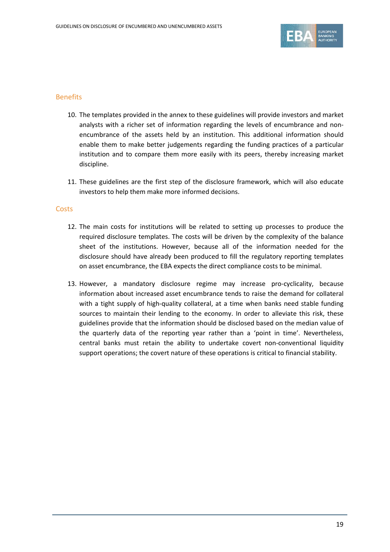

#### Benefits

- 10. The templates provided in the annex to these guidelines will provide investors and market analysts with a richer set of information regarding the levels of encumbrance and nonencumbrance of the assets held by an institution. This additional information should enable them to make better judgements regarding the funding practices of a particular institution and to compare them more easily with its peers, thereby increasing market discipline.
- 11. These guidelines are the first step of the disclosure framework, which will also educate investors to help them make more informed decisions.

#### **Costs**

- 12. The main costs for institutions will be related to setting up processes to produce the required disclosure templates. The costs will be driven by the complexity of the balance sheet of the institutions. However, because all of the information needed for the disclosure should have already been produced to fill the regulatory reporting templates on asset encumbrance, the EBA expects the direct compliance costs to be minimal.
- 13. However, a mandatory disclosure regime may increase pro-cyclicality, because information about increased asset encumbrance tends to raise the demand for collateral with a tight supply of high-quality collateral, at a time when banks need stable funding sources to maintain their lending to the economy. In order to alleviate this risk, these guidelines provide that the information should be disclosed based on the median value of the quarterly data of the reporting year rather than a 'point in time'. Nevertheless, central banks must retain the ability to undertake covert non-conventional liquidity support operations; the covert nature of these operations is critical to financial stability.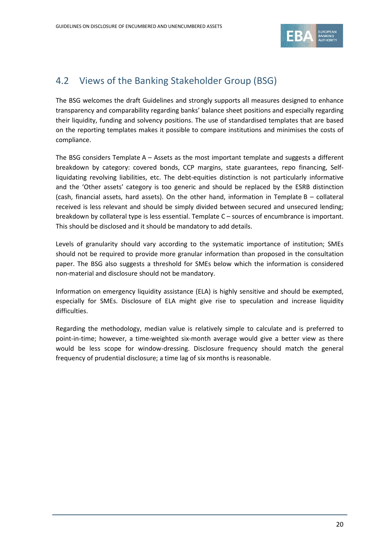

## 4.2 Views of the Banking Stakeholder Group (BSG)

The BSG welcomes the draft Guidelines and strongly supports all measures designed to enhance transparency and comparability regarding banks' balance sheet positions and especially regarding their liquidity, funding and solvency positions. The use of standardised templates that are based on the reporting templates makes it possible to compare institutions and minimises the costs of compliance.

The BSG considers Template A – Assets as the most important template and suggests a different breakdown by category: covered bonds, CCP margins, state guarantees, repo financing, Selfliquidating revolving liabilities, etc. The debt-equities distinction is not particularly informative and the 'Other assets' category is too generic and should be replaced by the ESRB distinction (cash, financial assets, hard assets). On the other hand, information in Template B – collateral received is less relevant and should be simply divided between secured and unsecured lending; breakdown by collateral type is less essential. Template C – sources of encumbrance is important. This should be disclosed and it should be mandatory to add details.

Levels of granularity should vary according to the systematic importance of institution; SMEs should not be required to provide more granular information than proposed in the consultation paper. The BSG also suggests a threshold for SMEs below which the information is considered non-material and disclosure should not be mandatory.

Information on emergency liquidity assistance (ELA) is highly sensitive and should be exempted, especially for SMEs. Disclosure of ELA might give rise to speculation and increase liquidity difficulties.

Regarding the methodology, median value is relatively simple to calculate and is preferred to point-in-time; however, a time-weighted six-month average would give a better view as there would be less scope for window-dressing. Disclosure frequency should match the general frequency of prudential disclosure; a time lag of six months is reasonable.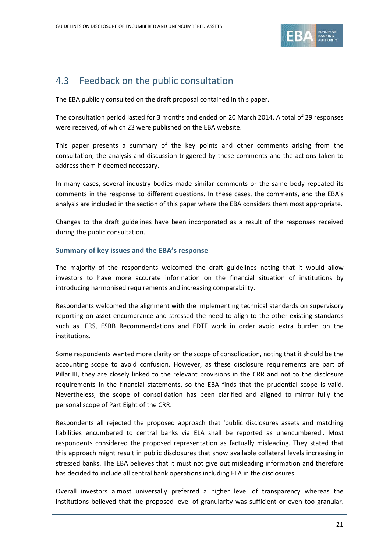

## 4.3 Feedback on the public consultation

The EBA publicly consulted on the draft proposal contained in this paper.

The consultation period lasted for 3 months and ended on 20 March 2014. A total of 29 responses were received, of which 23 were published on the EBA website.

This paper presents a summary of the key points and other comments arising from the consultation, the analysis and discussion triggered by these comments and the actions taken to address them if deemed necessary.

In many cases, several industry bodies made similar comments or the same body repeated its comments in the response to different questions. In these cases, the comments, and the EBA's analysis are included in the section of this paper where the EBA considers them most appropriate.

Changes to the draft guidelines have been incorporated as a result of the responses received during the public consultation.

### **Summary of key issues and the EBA's response**

The majority of the respondents welcomed the draft guidelines noting that it would allow investors to have more accurate information on the financial situation of institutions by introducing harmonised requirements and increasing comparability.

Respondents welcomed the alignment with the implementing technical standards on supervisory reporting on asset encumbrance and stressed the need to align to the other existing standards such as IFRS, ESRB Recommendations and EDTF work in order avoid extra burden on the institutions.

Some respondents wanted more clarity on the scope of consolidation, noting that it should be the accounting scope to avoid confusion. However, as these disclosure requirements are part of Pillar III, they are closely linked to the relevant provisions in the CRR and not to the disclosure requirements in the financial statements, so the EBA finds that the prudential scope is valid. Nevertheless, the scope of consolidation has been clarified and aligned to mirror fully the personal scope of Part Eight of the CRR.

Respondents all rejected the proposed approach that 'public disclosures assets and matching liabilities encumbered to central banks via ELA shall be reported as unencumbered'. Most respondents considered the proposed representation as factually misleading. They stated that this approach might result in public disclosures that show available collateral levels increasing in stressed banks. The EBA believes that it must not give out misleading information and therefore has decided to include all central bank operations including ELA in the disclosures.

Overall investors almost universally preferred a higher level of transparency whereas the institutions believed that the proposed level of granularity was sufficient or even too granular.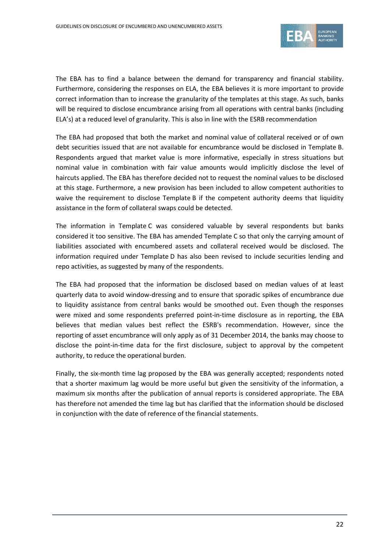

The EBA has to find a balance between the demand for transparency and financial stability. Furthermore, considering the responses on ELA, the EBA believes it is more important to provide correct information than to increase the granularity of the templates at this stage. As such, banks will be required to disclose encumbrance arising from all operations with central banks (including ELA's) at a reduced level of granularity. This is also in line with the ESRB recommendation

The EBA had proposed that both the market and nominal value of collateral received or of own debt securities issued that are not available for encumbrance would be disclosed in Template B. Respondents argued that market value is more informative, especially in stress situations but nominal value in combination with fair value amounts would implicitly disclose the level of haircuts applied. The EBA has therefore decided not to request the nominal values to be disclosed at this stage. Furthermore, a new provision has been included to allow competent authorities to waive the requirement to disclose Template B if the competent authority deems that liquidity assistance in the form of collateral swaps could be detected.

The information in Template C was considered valuable by several respondents but banks considered it too sensitive. The EBA has amended Template C so that only the carrying amount of liabilities associated with encumbered assets and collateral received would be disclosed. The information required under Template D has also been revised to include securities lending and repo activities, as suggested by many of the respondents.

The EBA had proposed that the information be disclosed based on median values of at least quarterly data to avoid window-dressing and to ensure that sporadic spikes of encumbrance due to liquidity assistance from central banks would be smoothed out. Even though the responses were mixed and some respondents preferred point-in-time disclosure as in reporting, the EBA believes that median values best reflect the ESRB's recommendation. However, since the reporting of asset encumbrance will only apply as of 31 December 2014, the banks may choose to disclose the point-in-time data for the first disclosure, subject to approval by the competent authority, to reduce the operational burden.

Finally, the six-month time lag proposed by the EBA was generally accepted; respondents noted that a shorter maximum lag would be more useful but given the sensitivity of the information, a maximum six months after the publication of annual reports is considered appropriate. The EBA has therefore not amended the time lag but has clarified that the information should be disclosed in conjunction with the date of reference of the financial statements.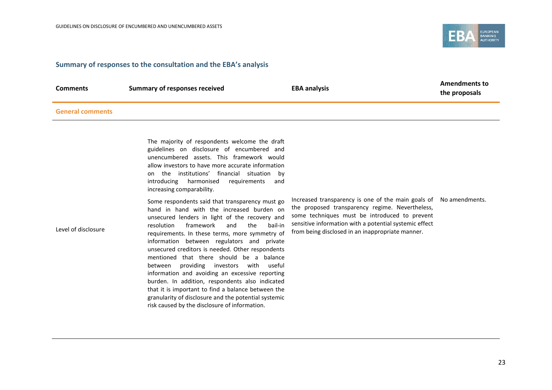

#### **Summary of responses to the consultation and the EBA's analysis**

| <b>Comments</b>         | <b>Summary of responses received</b>                                                                                                                                                                                                                                                                                    | <b>EBA analysis</b>                                                                                                                                                                                                            | <b>Amendments to</b><br>the proposals |
|-------------------------|-------------------------------------------------------------------------------------------------------------------------------------------------------------------------------------------------------------------------------------------------------------------------------------------------------------------------|--------------------------------------------------------------------------------------------------------------------------------------------------------------------------------------------------------------------------------|---------------------------------------|
| <b>General comments</b> |                                                                                                                                                                                                                                                                                                                         |                                                                                                                                                                                                                                |                                       |
|                         | The majority of respondents welcome the draft<br>guidelines on disclosure of encumbered and<br>unencumbered assets. This framework would<br>allow investors to have more accurate information<br>on the institutions' financial situation by<br>introducing harmonised requirements<br>and<br>increasing comparability. |                                                                                                                                                                                                                                |                                       |
|                         |                                                                                                                                                                                                                                                                                                                         | The corrected the component of the search of the correct of contract of the following discussion of the contract of the contract of the contract of the contract of the contract of the contract of the contract of the contra |                                       |

Some respondents said that transparency must go hand in hand with the increased burden on unsecured lenders in light of the recovery and resolution framework and the bail-in requirements. In these terms, more symmetry of information between regulators and private unsecured creditors is needed. Other respondents mentioned that there should be a balance between providing investors with useful information and avoiding an excessive reporting burden. In addition, respondents also indicated that it is important to find a balance between the granularity of disclosure and the potential systemic risk caused by the disclosure of information.

Increased transparency is one of the main goals of No amendments. the proposed transparency regime. Nevertheless, some techniques must be introduced to prevent sensitive information with a potential systemic effect from being disclosed in an inappropriate manner.

Level of disclosure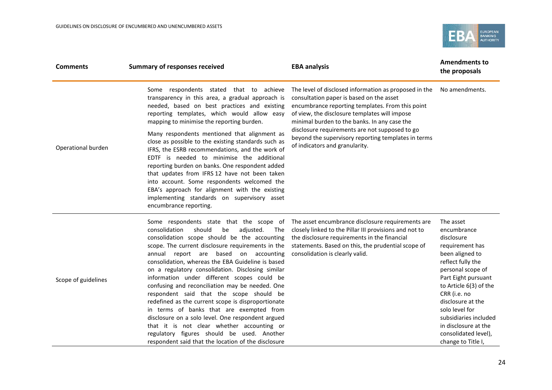

| <b>Comments</b>     | <b>Summary of responses received</b>                                                                                                                                                                                                                                                                                                                                                                                                                                                                                                                                                                                                                                                                                                                                                                          | <b>EBA analysis</b>                                                                                                                                                                                                                                                                                                                                                                               | <b>Amendments to</b><br>the proposals                                                                                                                                                                                                                                                                                         |
|---------------------|---------------------------------------------------------------------------------------------------------------------------------------------------------------------------------------------------------------------------------------------------------------------------------------------------------------------------------------------------------------------------------------------------------------------------------------------------------------------------------------------------------------------------------------------------------------------------------------------------------------------------------------------------------------------------------------------------------------------------------------------------------------------------------------------------------------|---------------------------------------------------------------------------------------------------------------------------------------------------------------------------------------------------------------------------------------------------------------------------------------------------------------------------------------------------------------------------------------------------|-------------------------------------------------------------------------------------------------------------------------------------------------------------------------------------------------------------------------------------------------------------------------------------------------------------------------------|
| Operational burden  | Some respondents stated that to achieve<br>transparency in this area, a gradual approach is<br>needed, based on best practices and existing<br>reporting templates, which would allow easy<br>mapping to minimise the reporting burden.<br>Many respondents mentioned that alignment as<br>close as possible to the existing standards such as<br>IFRS, the ESRB recommendations, and the work of<br>EDTF is needed to minimise the additional<br>reporting burden on banks. One respondent added<br>that updates from IFRS 12 have not been taken<br>into account. Some respondents welcomed the<br>EBA's approach for alignment with the existing<br>implementing standards on supervisory asset<br>encumbrance reporting.                                                                                  | The level of disclosed information as proposed in the<br>consultation paper is based on the asset<br>encumbrance reporting templates. From this point<br>of view, the disclosure templates will impose<br>minimal burden to the banks. In any case the<br>disclosure requirements are not supposed to go<br>beyond the supervisory reporting templates in terms<br>of indicators and granularity. | No amendments.                                                                                                                                                                                                                                                                                                                |
| Scope of guidelines | Some respondents state that the scope of<br>consolidation<br>should<br>adjusted.<br>be<br>The<br>consolidation scope should be the accounting<br>scope. The current disclosure requirements in the<br>annual report are based on accounting<br>consolidation, whereas the EBA Guideline is based<br>on a regulatory consolidation. Disclosing similar<br>information under different scopes could be<br>confusing and reconciliation may be needed. One<br>respondent said that the scope should be<br>redefined as the current scope is disproportionate<br>in terms of banks that are exempted from<br>disclosure on a solo level. One respondent argued<br>that it is not clear whether accounting or<br>regulatory figures should be used. Another<br>respondent said that the location of the disclosure | The asset encumbrance disclosure requirements are<br>closely linked to the Pillar III provisions and not to<br>the disclosure requirements in the financial<br>statements. Based on this, the prudential scope of<br>consolidation is clearly valid.                                                                                                                                              | The asset<br>encumbrance<br>disclosure<br>requirement has<br>been aligned to<br>reflect fully the<br>personal scope of<br>Part Eight pursuant<br>to Article 6(3) of the<br>CRR (i.e. no<br>disclosure at the<br>solo level for<br>subsidiaries included<br>in disclosure at the<br>consolidated level),<br>change to Title I, |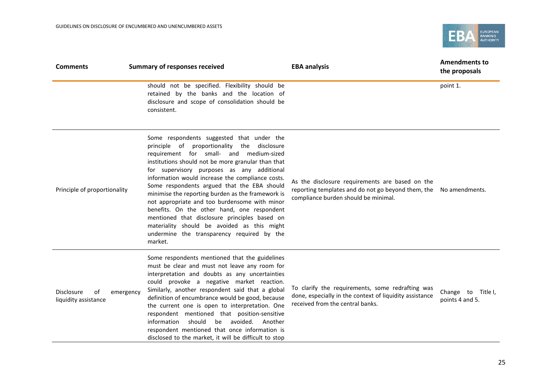

| <b>Comments</b>                                              | <b>Summary of responses received</b>                                                                                                                                                                                                                                                                                                                                                                                                                                                                                                                                                                                                                     | <b>EBA analysis</b>                                                                                                                             | <b>Amendments to</b><br>the proposals |
|--------------------------------------------------------------|----------------------------------------------------------------------------------------------------------------------------------------------------------------------------------------------------------------------------------------------------------------------------------------------------------------------------------------------------------------------------------------------------------------------------------------------------------------------------------------------------------------------------------------------------------------------------------------------------------------------------------------------------------|-------------------------------------------------------------------------------------------------------------------------------------------------|---------------------------------------|
|                                                              | should not be specified. Flexibility should be<br>retained by the banks and the location of<br>disclosure and scope of consolidation should be<br>consistent.                                                                                                                                                                                                                                                                                                                                                                                                                                                                                            |                                                                                                                                                 | point 1.                              |
| Principle of proportionality                                 | Some respondents suggested that under the<br>principle of proportionality the disclosure<br>requirement for small- and medium-sized<br>institutions should not be more granular than that<br>for supervisory purposes as any additional<br>information would increase the compliance costs.<br>Some respondents argued that the EBA should<br>minimise the reporting burden as the framework is<br>not appropriate and too burdensome with minor<br>benefits. On the other hand, one respondent<br>mentioned that disclosure principles based on<br>materiality should be avoided as this might<br>undermine the transparency required by the<br>market. | As the disclosure requirements are based on the<br>reporting templates and do not go beyond them, the<br>compliance burden should be minimal.   | No amendments.                        |
| <b>Disclosure</b><br>of<br>emergency<br>liquidity assistance | Some respondents mentioned that the guidelines<br>must be clear and must not leave any room for<br>interpretation and doubts as any uncertainties<br>could provoke a negative market reaction.<br>Similarly, another respondent said that a global<br>definition of encumbrance would be good, because<br>the current one is open to interpretation. One<br>respondent mentioned that position-sensitive<br>should<br>information<br>be<br>avoided.<br>Another<br>respondent mentioned that once information is<br>disclosed to the market, it will be difficult to stop                                                                                 | To clarify the requirements, some redrafting was<br>done, especially in the context of liquidity assistance<br>received from the central banks. | Change to Title I,<br>points 4 and 5. |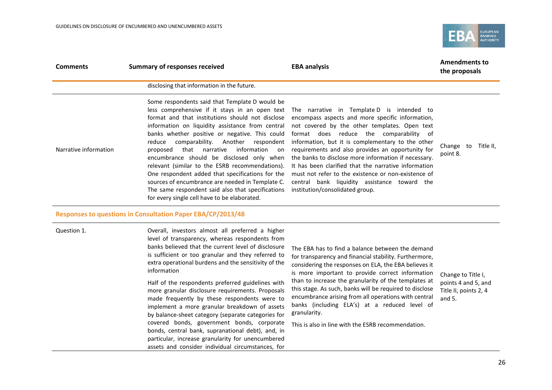

| <b>Comments</b>       | <b>Summary of responses received</b>                                                                                                                                                                                                                                                                                                                                                                                                                                                                                                                                                                                                                                                                            | <b>EBA analysis</b>                                                                                                                                                                                                                                                                                                                                                                                                                                                                                                                                            | <b>Amendments to</b><br>the proposals                                          |
|-----------------------|-----------------------------------------------------------------------------------------------------------------------------------------------------------------------------------------------------------------------------------------------------------------------------------------------------------------------------------------------------------------------------------------------------------------------------------------------------------------------------------------------------------------------------------------------------------------------------------------------------------------------------------------------------------------------------------------------------------------|----------------------------------------------------------------------------------------------------------------------------------------------------------------------------------------------------------------------------------------------------------------------------------------------------------------------------------------------------------------------------------------------------------------------------------------------------------------------------------------------------------------------------------------------------------------|--------------------------------------------------------------------------------|
|                       | disclosing that information in the future.                                                                                                                                                                                                                                                                                                                                                                                                                                                                                                                                                                                                                                                                      |                                                                                                                                                                                                                                                                                                                                                                                                                                                                                                                                                                |                                                                                |
| Narrative information | Some respondents said that Template D would be<br>less comprehensive if it stays in an open text<br>format and that institutions should not disclose<br>information on liquidity assistance from central<br>banks whether positive or negative. This could<br>comparability. Another<br>respondent<br>reduce<br>that narrative<br>information on<br>proposed<br>encumbrance should be disclosed only when<br>relevant (similar to the ESRB recommendations).<br>One respondent added that specifications for the<br>sources of encumbrance are needed in Template C.<br>The same respondent said also that specifications<br>for every single cell have to be elaborated.                                       | The narrative in Template D is intended to<br>encompass aspects and more specific information,<br>not covered by the other templates. Open text<br>format does reduce the comparability of<br>information, but it is complementary to the other<br>requirements and also provides an opportunity for<br>the banks to disclose more information if necessary.<br>It has been clarified that the narrative information<br>must not refer to the existence or non-existence of<br>central bank liquidity assistance toward the<br>institution/consolidated group. | Change to Title II,<br>point 8.                                                |
|                       | Responses to questions in Consultation Paper EBA/CP/2013/48                                                                                                                                                                                                                                                                                                                                                                                                                                                                                                                                                                                                                                                     |                                                                                                                                                                                                                                                                                                                                                                                                                                                                                                                                                                |                                                                                |
| Question 1.           | Overall, investors almost all preferred a higher<br>level of transparency, whereas respondents from<br>banks believed that the current level of disclosure<br>is sufficient or too granular and they referred to<br>extra operational burdens and the sensitivity of the<br>information<br>Half of the respondents preferred guidelines with<br>more granular disclosure requirements. Proposals<br>made frequently by these respondents were to<br>implement a more granular breakdown of assets<br>by balance-sheet category (separate categories for<br>covered bonds, government bonds, corporate<br>bonds, central bank, supranational debt), and, in<br>particular, increase granularity for unencumbered | The EBA has to find a balance between the demand<br>for transparency and financial stability. Furthermore,<br>considering the responses on ELA, the EBA believes it<br>is more important to provide correct information<br>than to increase the granularity of the templates at<br>this stage. As such, banks will be required to disclose<br>encumbrance arising from all operations with central<br>banks (including ELA's) at a reduced level of<br>granularity.<br>This is also in line with the ESRB recommendation.                                      | Change to Title I,<br>points 4 and 5, and<br>Title II, points 2, 4<br>and $5.$ |

assets and consider individual circumstances, for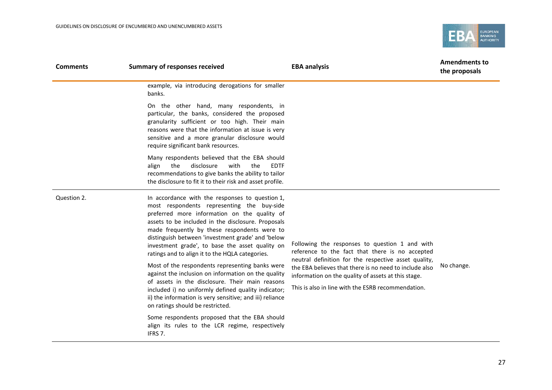

| <b>Comments</b> | <b>Summary of responses received</b>                                                                                                                                                                                                                                                                                                                                                                                                                                                                                                                                                                                                                                                                                               | <b>EBA analysis</b>                                                                                                                                                                                                                                                                                                              | <b>Amendments to</b><br>the proposals |
|-----------------|------------------------------------------------------------------------------------------------------------------------------------------------------------------------------------------------------------------------------------------------------------------------------------------------------------------------------------------------------------------------------------------------------------------------------------------------------------------------------------------------------------------------------------------------------------------------------------------------------------------------------------------------------------------------------------------------------------------------------------|----------------------------------------------------------------------------------------------------------------------------------------------------------------------------------------------------------------------------------------------------------------------------------------------------------------------------------|---------------------------------------|
|                 | example, via introducing derogations for smaller<br>banks.                                                                                                                                                                                                                                                                                                                                                                                                                                                                                                                                                                                                                                                                         |                                                                                                                                                                                                                                                                                                                                  |                                       |
|                 | On the other hand, many respondents, in<br>particular, the banks, considered the proposed<br>granularity sufficient or too high. Their main<br>reasons were that the information at issue is very<br>sensitive and a more granular disclosure would<br>require significant bank resources.                                                                                                                                                                                                                                                                                                                                                                                                                                         |                                                                                                                                                                                                                                                                                                                                  |                                       |
|                 | Many respondents believed that the EBA should<br>disclosure<br>with<br><b>EDTF</b><br>the<br>the<br>align<br>recommendations to give banks the ability to tailor<br>the disclosure to fit it to their risk and asset profile.                                                                                                                                                                                                                                                                                                                                                                                                                                                                                                      |                                                                                                                                                                                                                                                                                                                                  |                                       |
| Question 2.     | In accordance with the responses to question 1,<br>most respondents representing the buy-side<br>preferred more information on the quality of<br>assets to be included in the disclosure. Proposals<br>made frequently by these respondents were to<br>distinguish between 'investment grade' and 'below<br>investment grade', to base the asset quality on<br>ratings and to align it to the HQLA categories.<br>Most of the respondents representing banks were<br>against the inclusion on information on the quality<br>of assets in the disclosure. Their main reasons<br>included i) no uniformly defined quality indicator;<br>ii) the information is very sensitive; and iii) reliance<br>on ratings should be restricted. | Following the responses to question 1 and with<br>reference to the fact that there is no accepted<br>neutral definition for the respective asset quality,<br>the EBA believes that there is no need to include also<br>information on the quality of assets at this stage.<br>This is also in line with the ESRB recommendation. | No change.                            |
|                 | Some respondents proposed that the EBA should<br>align its rules to the LCR regime, respectively<br>IFRS 7.                                                                                                                                                                                                                                                                                                                                                                                                                                                                                                                                                                                                                        |                                                                                                                                                                                                                                                                                                                                  |                                       |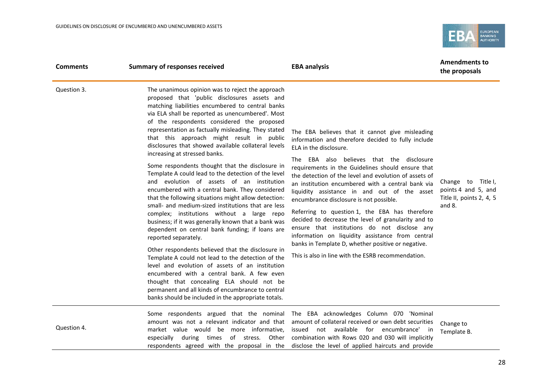

| <b>Comments</b> | <b>Summary of responses received</b>                                                                                                                                                                                                                                                                                                                                                                                                                                                                                                                                                                                                                                                                                                                                                                                                                                                                                                                                                                                                                                                                                                                                                                                                                                                                                           | <b>EBA analysis</b>                                                                                                                                                                                                                                                                                                                                                                                                                                                                                                                                                                                                                                                                                                                                                 | <b>Amendments to</b><br>the proposals                                           |
|-----------------|--------------------------------------------------------------------------------------------------------------------------------------------------------------------------------------------------------------------------------------------------------------------------------------------------------------------------------------------------------------------------------------------------------------------------------------------------------------------------------------------------------------------------------------------------------------------------------------------------------------------------------------------------------------------------------------------------------------------------------------------------------------------------------------------------------------------------------------------------------------------------------------------------------------------------------------------------------------------------------------------------------------------------------------------------------------------------------------------------------------------------------------------------------------------------------------------------------------------------------------------------------------------------------------------------------------------------------|---------------------------------------------------------------------------------------------------------------------------------------------------------------------------------------------------------------------------------------------------------------------------------------------------------------------------------------------------------------------------------------------------------------------------------------------------------------------------------------------------------------------------------------------------------------------------------------------------------------------------------------------------------------------------------------------------------------------------------------------------------------------|---------------------------------------------------------------------------------|
| Question 3.     | The unanimous opinion was to reject the approach<br>proposed that 'public disclosures assets and<br>matching liabilities encumbered to central banks<br>via ELA shall be reported as unencumbered'. Most<br>of the respondents considered the proposed<br>representation as factually misleading. They stated<br>that this approach might result in public<br>disclosures that showed available collateral levels<br>increasing at stressed banks.<br>Some respondents thought that the disclosure in<br>Template A could lead to the detection of the level<br>and evolution of assets of an institution<br>encumbered with a central bank. They considered<br>that the following situations might allow detection:<br>small- and medium-sized institutions that are less<br>complex; institutions without a large repo<br>business; if it was generally known that a bank was<br>dependent on central bank funding; if loans are<br>reported separately.<br>Other respondents believed that the disclosure in<br>Template A could not lead to the detection of the<br>level and evolution of assets of an institution<br>encumbered with a central bank. A few even<br>thought that concealing ELA should not be<br>permanent and all kinds of encumbrance to central<br>banks should be included in the appropriate totals. | The EBA believes that it cannot give misleading<br>information and therefore decided to fully include<br>ELA in the disclosure.<br>The EBA also believes that the disclosure<br>requirements in the Guidelines should ensure that<br>the detection of the level and evolution of assets of<br>an institution encumbered with a central bank via<br>liquidity assistance in and out of the asset<br>encumbrance disclosure is not possible.<br>Referring to question 1, the EBA has therefore<br>decided to decrease the level of granularity and to<br>ensure that institutions do not disclose any<br>information on liquidity assistance from central<br>banks in Template D, whether positive or negative.<br>This is also in line with the ESRB recommendation. | Change to Title I,<br>points 4 and 5, and<br>Title II, points 2, 4, 5<br>and 8. |
| Question 4.     | amount was not a relevant indicator and that<br>market value would be more informative,<br>especially during times of stress.<br>Other<br>respondents agreed with the proposal in the                                                                                                                                                                                                                                                                                                                                                                                                                                                                                                                                                                                                                                                                                                                                                                                                                                                                                                                                                                                                                                                                                                                                          | Some respondents argued that the nominal The EBA acknowledges Column 070 'Nominal<br>amount of collateral received or own debt securities<br>not available for encumbrance' in<br>issued<br>combination with Rows 020 and 030 will implicitly<br>disclose the level of applied haircuts and provide                                                                                                                                                                                                                                                                                                                                                                                                                                                                 | Change to<br>Template B.                                                        |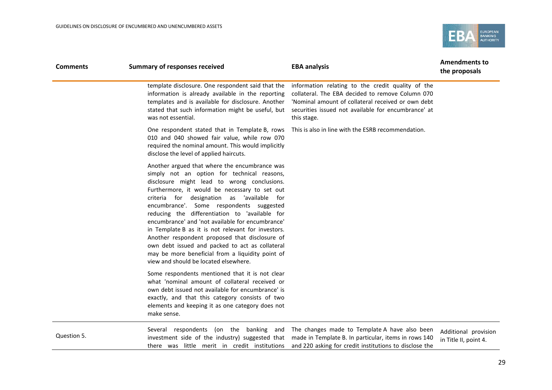

| <b>Comments</b> | <b>Summary of responses received</b>                                                                                                                                                                                                                                                                                                                                                                                                                                                                                                                                                                                                                 | <b>EBA analysis</b>                                                                                                                                                                                                               | <b>Amendments to</b><br>the proposals         |
|-----------------|------------------------------------------------------------------------------------------------------------------------------------------------------------------------------------------------------------------------------------------------------------------------------------------------------------------------------------------------------------------------------------------------------------------------------------------------------------------------------------------------------------------------------------------------------------------------------------------------------------------------------------------------------|-----------------------------------------------------------------------------------------------------------------------------------------------------------------------------------------------------------------------------------|-----------------------------------------------|
|                 | template disclosure. One respondent said that the<br>information is already available in the reporting<br>templates and is available for disclosure. Another<br>stated that such information might be useful, but<br>was not essential.                                                                                                                                                                                                                                                                                                                                                                                                              | information relating to the credit quality of the<br>collateral. The EBA decided to remove Column 070<br>'Nominal amount of collateral received or own debt<br>securities issued not available for encumbrance' at<br>this stage. |                                               |
|                 | One respondent stated that in Template B, rows<br>010 and 040 showed fair value, while row 070<br>required the nominal amount. This would implicitly<br>disclose the level of applied haircuts.                                                                                                                                                                                                                                                                                                                                                                                                                                                      | This is also in line with the ESRB recommendation.                                                                                                                                                                                |                                               |
|                 | Another argued that where the encumbrance was<br>simply not an option for technical reasons,<br>disclosure might lead to wrong conclusions.<br>Furthermore, it would be necessary to set out<br>criteria for designation as 'available for<br>encumbrance'. Some respondents suggested<br>reducing the differentiation to 'available for<br>encumbrance' and 'not available for encumbrance'<br>in Template B as it is not relevant for investors.<br>Another respondent proposed that disclosure of<br>own debt issued and packed to act as collateral<br>may be more beneficial from a liquidity point of<br>view and should be located elsewhere. |                                                                                                                                                                                                                                   |                                               |
|                 | Some respondents mentioned that it is not clear<br>what 'nominal amount of collateral received or<br>own debt issued not available for encumbrance' is<br>exactly, and that this category consists of two<br>elements and keeping it as one category does not<br>make sense.                                                                                                                                                                                                                                                                                                                                                                         |                                                                                                                                                                                                                                   |                                               |
| Question 5.     | Several respondents (on the banking<br>and<br>investment side of the industry) suggested that<br>there was little merit in credit institutions                                                                                                                                                                                                                                                                                                                                                                                                                                                                                                       | The changes made to Template A have also been<br>made in Template B. In particular, items in rows 140<br>and 220 asking for credit institutions to disclose the                                                                   | Additional provision<br>in Title II, point 4. |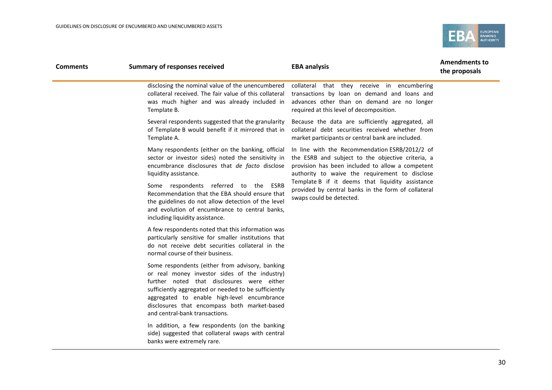

| <b>Comments</b> | <b>Summary of responses received</b>                                                                                                                                                                                                                                                                                                    | <b>EBA analysis</b>                                                                                                                                                                                       | <b>Amendments to</b><br>the proposals |
|-----------------|-----------------------------------------------------------------------------------------------------------------------------------------------------------------------------------------------------------------------------------------------------------------------------------------------------------------------------------------|-----------------------------------------------------------------------------------------------------------------------------------------------------------------------------------------------------------|---------------------------------------|
|                 | disclosing the nominal value of the unencumbered<br>collateral received. The fair value of this collateral<br>was much higher and was already included in<br>Template B.                                                                                                                                                                | collateral that they receive in encumbering<br>transactions by loan on demand and loans and<br>advances other than on demand are no longer<br>required at this level of decomposition.                    |                                       |
|                 | Several respondents suggested that the granularity<br>of Template B would benefit if it mirrored that in<br>Template A.                                                                                                                                                                                                                 | Because the data are sufficiently aggregated, all<br>collateral debt securities received whether from<br>market participants or central bank are included.                                                |                                       |
|                 | Many respondents (either on the banking, official<br>sector or investor sides) noted the sensitivity in<br>encumbrance disclosures that de facto disclose<br>liquidity assistance.                                                                                                                                                      | In line with the Recommendation ESRB/2012/2 of<br>the ESRB and subject to the objective criteria, a<br>provision has been included to allow a competent<br>authority to waive the requirement to disclose |                                       |
|                 | Some respondents referred to the ESRB<br>Recommendation that the EBA should ensure that<br>the guidelines do not allow detection of the level<br>and evolution of encumbrance to central banks,<br>including liquidity assistance.                                                                                                      | Template B if it deems that liquidity assistance<br>provided by central banks in the form of collateral<br>swaps could be detected.                                                                       |                                       |
|                 | A few respondents noted that this information was<br>particularly sensitive for smaller institutions that<br>do not receive debt securities collateral in the<br>normal course of their business.                                                                                                                                       |                                                                                                                                                                                                           |                                       |
|                 | Some respondents (either from advisory, banking<br>or real money investor sides of the industry)<br>further noted that disclosures were either<br>sufficiently aggregated or needed to be sufficiently<br>aggregated to enable high-level encumbrance<br>disclosures that encompass both market-based<br>and central-bank transactions. |                                                                                                                                                                                                           |                                       |
|                 | In addition, a few respondents (on the banking<br>side) suggested that collateral swaps with central<br>banks were extremely rare.                                                                                                                                                                                                      |                                                                                                                                                                                                           |                                       |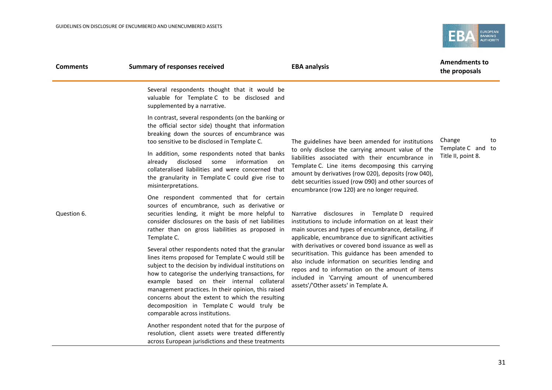

| <b>Comments</b> | <b>Summary of responses received</b>                                                                                                                                                                                                                                                                                                                                                                                                                             | <b>EBA analysis</b>                                                                                                                                                                                                                                                                                                         | <b>Amendments to</b><br>the proposals   |  |
|-----------------|------------------------------------------------------------------------------------------------------------------------------------------------------------------------------------------------------------------------------------------------------------------------------------------------------------------------------------------------------------------------------------------------------------------------------------------------------------------|-----------------------------------------------------------------------------------------------------------------------------------------------------------------------------------------------------------------------------------------------------------------------------------------------------------------------------|-----------------------------------------|--|
|                 | Several respondents thought that it would be<br>valuable for Template C to be disclosed and<br>supplemented by a narrative.                                                                                                                                                                                                                                                                                                                                      |                                                                                                                                                                                                                                                                                                                             |                                         |  |
|                 | In contrast, several respondents (on the banking or<br>the official sector side) thought that information<br>breaking down the sources of encumbrance was<br>too sensitive to be disclosed in Template C.                                                                                                                                                                                                                                                        | The guidelines have been amended for institutions                                                                                                                                                                                                                                                                           | Change<br>to                            |  |
|                 | In addition, some respondents noted that banks<br>disclosed<br>information<br>some<br>already<br>on.<br>collateralised liabilities and were concerned that<br>the granularity in Template C could give rise to<br>misinterpretations.                                                                                                                                                                                                                            | to only disclose the carrying amount value of the<br>liabilities associated with their encumbrance in<br>Template C. Line items decomposing this carrying<br>amount by derivatives (row 020), deposits (row 040),<br>debt securities issued (row 090) and other sources of<br>encumbrance (row 120) are no longer required. | Template C and to<br>Title II, point 8. |  |
| Question 6.     | One respondent commented that for certain<br>sources of encumbrance, such as derivative or<br>securities lending, it might be more helpful to<br>consider disclosures on the basis of net liabilities<br>rather than on gross liabilities as proposed in<br>Template C.                                                                                                                                                                                          | Narrative disclosures in Template D required<br>institutions to include information on at least their<br>main sources and types of encumbrance, detailing, if<br>applicable, encumbrance due to significant activities                                                                                                      |                                         |  |
|                 | Several other respondents noted that the granular<br>lines items proposed for Template C would still be<br>subject to the decision by individual institutions on<br>how to categorise the underlying transactions, for<br>example based on their internal collateral<br>management practices. In their opinion, this raised<br>concerns about the extent to which the resulting<br>decomposition in Template C would truly be<br>comparable across institutions. | with derivatives or covered bond issuance as well as<br>securitisation. This guidance has been amended to<br>also include information on securities lending and<br>repos and to information on the amount of items<br>included in 'Carrying amount of unencumbered<br>assets'/'Other assets' in Template A.                 |                                         |  |
|                 | Another respondent noted that for the purpose of<br>resolution, client assets were treated differently<br>across European jurisdictions and these treatments                                                                                                                                                                                                                                                                                                     |                                                                                                                                                                                                                                                                                                                             |                                         |  |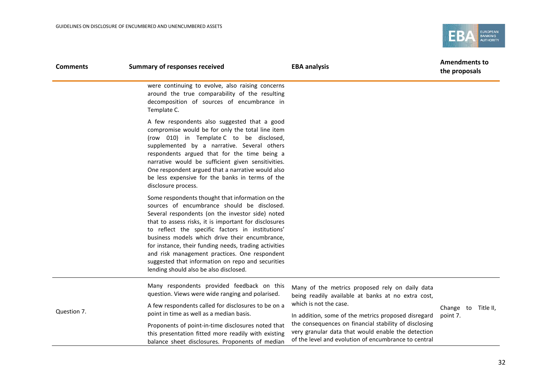

| <b>Comments</b> | <b>Summary of responses received</b>                                                                                                                                                                                                                                                                                                                                                                                                                                                                                        | <b>EBA analysis</b>                                                                                                                                                                    | <b>Amendments to</b><br>the proposals |
|-----------------|-----------------------------------------------------------------------------------------------------------------------------------------------------------------------------------------------------------------------------------------------------------------------------------------------------------------------------------------------------------------------------------------------------------------------------------------------------------------------------------------------------------------------------|----------------------------------------------------------------------------------------------------------------------------------------------------------------------------------------|---------------------------------------|
|                 | were continuing to evolve, also raising concerns<br>around the true comparability of the resulting<br>decomposition of sources of encumbrance in<br>Template C.                                                                                                                                                                                                                                                                                                                                                             |                                                                                                                                                                                        |                                       |
|                 | A few respondents also suggested that a good<br>compromise would be for only the total line item<br>(row 010) in Template C to be disclosed,<br>supplemented by a narrative. Several others<br>respondents argued that for the time being a<br>narrative would be sufficient given sensitivities.<br>One respondent argued that a narrative would also<br>be less expensive for the banks in terms of the<br>disclosure process.                                                                                            |                                                                                                                                                                                        |                                       |
|                 | Some respondents thought that information on the<br>sources of encumbrance should be disclosed.<br>Several respondents (on the investor side) noted<br>that to assess risks, it is important for disclosures<br>to reflect the specific factors in institutions'<br>business models which drive their encumbrance,<br>for instance, their funding needs, trading activities<br>and risk management practices. One respondent<br>suggested that information on repo and securities<br>lending should also be also disclosed. |                                                                                                                                                                                        |                                       |
| Question 7.     | Many respondents provided feedback on this<br>question. Views were wide ranging and polarised.<br>A few respondents called for disclosures to be on a<br>point in time as well as a median basis.                                                                                                                                                                                                                                                                                                                           | Many of the metrics proposed rely on daily data<br>being readily available at banks at no extra cost,<br>which is not the case.<br>In addition, some of the metrics proposed disregard | Change to Title II,<br>point 7.       |
|                 | Proponents of point-in-time disclosures noted that<br>this presentation fitted more readily with existing<br>balance sheet disclosures. Proponents of median                                                                                                                                                                                                                                                                                                                                                                | the consequences on financial stability of disclosing<br>very granular data that would enable the detection<br>of the level and evolution of encumbrance to central                    |                                       |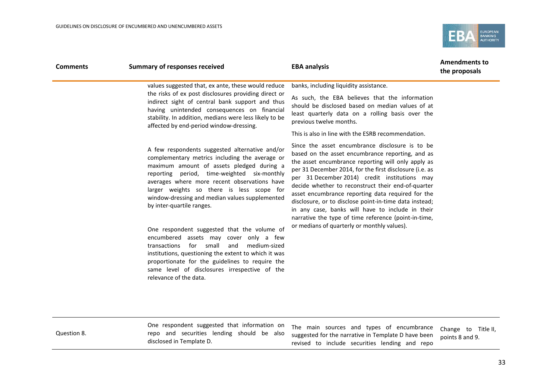

| <b>Summary of responses received</b>                                                                                                                                               | <b>EBA analysis</b>                                                                                                                                                                                                                                                                                                                                                                                                                                                                                                                                                                                   | <b>Amendments to</b><br>the proposals |
|------------------------------------------------------------------------------------------------------------------------------------------------------------------------------------|-------------------------------------------------------------------------------------------------------------------------------------------------------------------------------------------------------------------------------------------------------------------------------------------------------------------------------------------------------------------------------------------------------------------------------------------------------------------------------------------------------------------------------------------------------------------------------------------------------|---------------------------------------|
| values suggested that, ex ante, these would reduce                                                                                                                                 | banks, including liquidity assistance.                                                                                                                                                                                                                                                                                                                                                                                                                                                                                                                                                                |                                       |
| indirect sight of central bank support and thus<br>having unintended consequences on financial<br>stability. In addition, medians were less likely to be                           | As such, the EBA believes that the information<br>should be disclosed based on median values of at<br>least quarterly data on a rolling basis over the<br>previous twelve months.                                                                                                                                                                                                                                                                                                                                                                                                                     |                                       |
|                                                                                                                                                                                    | This is also in line with the ESRB recommendation.                                                                                                                                                                                                                                                                                                                                                                                                                                                                                                                                                    |                                       |
| by inter-quartile ranges.<br>for small<br>transactions<br>and                                                                                                                      | Since the asset encumbrance disclosure is to be<br>based on the asset encumbrance reporting, and as<br>the asset encumbrance reporting will only apply as<br>per 31 December 2014, for the first disclosure (i.e. as<br>per 31 December 2014) credit institutions may<br>decide whether to reconstruct their end-of-quarter<br>asset encumbrance reporting data required for the<br>disclosure, or to disclose point-in-time data instead;<br>in any case, banks will have to include in their<br>narrative the type of time reference (point-in-time,<br>or medians of quarterly or monthly values). |                                       |
| institutions, questioning the extent to which it was<br>proportionate for the guidelines to require the<br>same level of disclosures irrespective of the<br>relevance of the data. |                                                                                                                                                                                                                                                                                                                                                                                                                                                                                                                                                                                                       |                                       |
|                                                                                                                                                                                    | the risks of ex post disclosures providing direct or<br>affected by end-period window-dressing.<br>A few respondents suggested alternative and/or<br>complementary metrics including the average or<br>maximum amount of assets pledged during a<br>reporting period, time-weighted six-monthly<br>averages where more recent observations have<br>larger weights so there is less scope for<br>window-dressing and median values supplemented<br>One respondent suggested that the volume of<br>encumbered assets may cover only a few<br>medium-sized                                               |                                       |

Question 8.

One respondent suggested that information on repo and securities lending should be also disclosed in Template D.

The main sources and types of encumbrance suggested for the narrative in Template D have been revised to include securities lending and repo Change to Title II, points 8 and 9.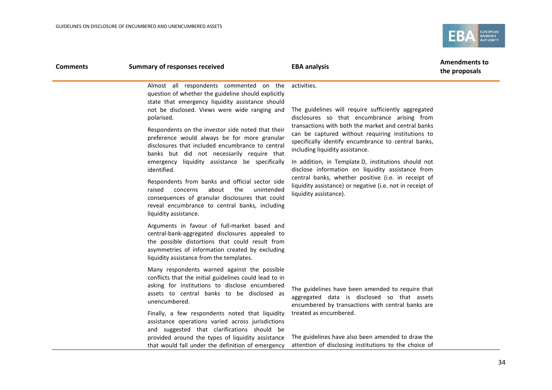

| <b>Comments</b> | <b>Summary of responses received</b>                                                                                                                                                                                                                                                                                                                                                                                                                                                                                                                                                                                                                                                                                                                                           | <b>EBA analysis</b>                                                                                                                                                                                                                                                                                                                                                                                                                                                                                                                                                                | <b>Amendments to</b><br>the proposals |  |
|-----------------|--------------------------------------------------------------------------------------------------------------------------------------------------------------------------------------------------------------------------------------------------------------------------------------------------------------------------------------------------------------------------------------------------------------------------------------------------------------------------------------------------------------------------------------------------------------------------------------------------------------------------------------------------------------------------------------------------------------------------------------------------------------------------------|------------------------------------------------------------------------------------------------------------------------------------------------------------------------------------------------------------------------------------------------------------------------------------------------------------------------------------------------------------------------------------------------------------------------------------------------------------------------------------------------------------------------------------------------------------------------------------|---------------------------------------|--|
|                 | Almost all respondents commented on the<br>question of whether the guideline should explicitly<br>state that emergency liquidity assistance should<br>not be disclosed. Views were wide ranging and<br>polarised.<br>Respondents on the investor side noted that their<br>preference would always be for more granular<br>disclosures that included encumbrance to central<br>banks but did not necessarily require that<br>emergency liquidity assistance be specifically<br>identified.<br>Respondents from banks and official sector side<br>about<br>the<br>raised<br>concerns<br>unintended<br>consequences of granular disclosures that could<br>reveal encumbrance to central banks, including<br>liquidity assistance.<br>Arguments in favour of full-market based and | activities.<br>The guidelines will require sufficiently aggregated<br>disclosures so that encumbrance arising from<br>transactions with both the market and central banks<br>can be captured without requiring institutions to<br>specifically identify encumbrance to central banks,<br>including liquidity assistance.<br>In addition, in Template D, institutions should not<br>disclose information on liquidity assistance from<br>central banks, whether positive (i.e. in receipt of<br>liquidity assistance) or negative (i.e. not in receipt of<br>liquidity assistance). |                                       |  |
|                 | central-bank-aggregated disclosures appealed to<br>the possible distortions that could result from<br>asymmetries of information created by excluding<br>liquidity assistance from the templates.                                                                                                                                                                                                                                                                                                                                                                                                                                                                                                                                                                              |                                                                                                                                                                                                                                                                                                                                                                                                                                                                                                                                                                                    |                                       |  |
|                 | Many respondents warned against the possible<br>conflicts that the initial guidelines could lead to in<br>asking for institutions to disclose encumbered<br>assets to central banks to be disclosed as<br>unencumbered.                                                                                                                                                                                                                                                                                                                                                                                                                                                                                                                                                        | The guidelines have been amended to require that<br>aggregated data is disclosed so that assets<br>encumbered by transactions with central banks are                                                                                                                                                                                                                                                                                                                                                                                                                               |                                       |  |
|                 | Finally, a few respondents noted that liquidity<br>assistance operations varied across jurisdictions<br>and suggested that clarifications should be<br>provided around the types of liquidity assistance<br>that would fall under the definition of emergency                                                                                                                                                                                                                                                                                                                                                                                                                                                                                                                  | treated as encumbered.<br>The guidelines have also been amended to draw the<br>attention of disclosing institutions to the choice of                                                                                                                                                                                                                                                                                                                                                                                                                                               |                                       |  |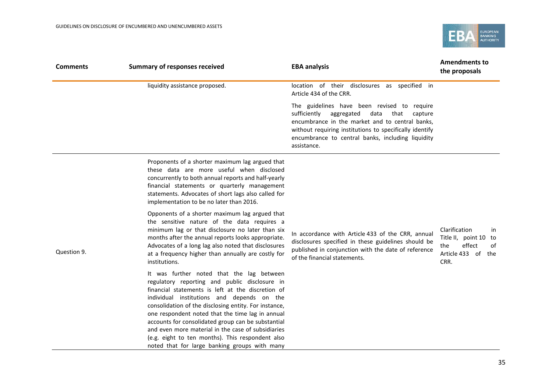

| <b>Comments</b> | <b>Summary of responses received</b>                                                                                                                                                                                                                                                                                                                                                                                                                                                                                        | <b>EBA analysis</b>                                                                                                                                                                                                                                                                 | <b>Amendments to</b><br>the proposals                                                             |  |
|-----------------|-----------------------------------------------------------------------------------------------------------------------------------------------------------------------------------------------------------------------------------------------------------------------------------------------------------------------------------------------------------------------------------------------------------------------------------------------------------------------------------------------------------------------------|-------------------------------------------------------------------------------------------------------------------------------------------------------------------------------------------------------------------------------------------------------------------------------------|---------------------------------------------------------------------------------------------------|--|
|                 | liquidity assistance proposed.                                                                                                                                                                                                                                                                                                                                                                                                                                                                                              | location of their disclosures as specified in<br>Article 434 of the CRR.                                                                                                                                                                                                            |                                                                                                   |  |
|                 |                                                                                                                                                                                                                                                                                                                                                                                                                                                                                                                             | The guidelines have been revised to require<br>sufficiently<br>aggregated data<br>that<br>capture<br>encumbrance in the market and to central banks,<br>without requiring institutions to specifically identify<br>encumbrance to central banks, including liquidity<br>assistance. |                                                                                                   |  |
|                 | Proponents of a shorter maximum lag argued that<br>these data are more useful when disclosed<br>concurrently to both annual reports and half-yearly<br>financial statements or quarterly management<br>statements. Advocates of short lags also called for<br>implementation to be no later than 2016.                                                                                                                                                                                                                      |                                                                                                                                                                                                                                                                                     |                                                                                                   |  |
| Question 9.     | Opponents of a shorter maximum lag argued that<br>the sensitive nature of the data requires a<br>minimum lag or that disclosure no later than six<br>months after the annual reports looks appropriate.<br>Advocates of a long lag also noted that disclosures<br>at a frequency higher than annually are costly for<br>institutions.                                                                                                                                                                                       | In accordance with Article 433 of the CRR, annual<br>disclosures specified in these guidelines should be<br>published in conjunction with the date of reference<br>of the financial statements.                                                                                     | Clarification<br>in<br>Title II, point 10 to<br>effect<br>the<br>0f<br>Article 433 of the<br>CRR. |  |
|                 | It was further noted that the lag between<br>regulatory reporting and public disclosure in<br>financial statements is left at the discretion of<br>individual institutions and depends on the<br>consolidation of the disclosing entity. For instance,<br>one respondent noted that the time lag in annual<br>accounts for consolidated group can be substantial<br>and even more material in the case of subsidiaries<br>(e.g. eight to ten months). This respondent also<br>noted that for large banking groups with many |                                                                                                                                                                                                                                                                                     |                                                                                                   |  |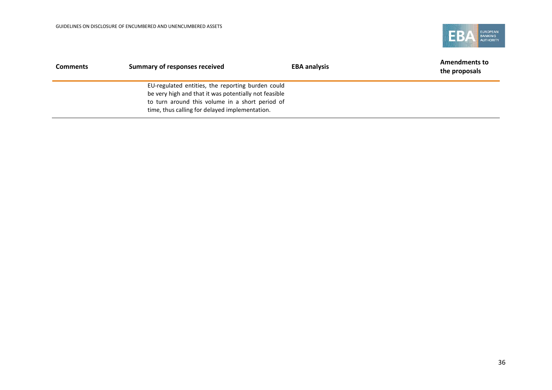

| <b>Comments</b> | Summary of responses received                                                                                                                                                                                   | <b>EBA analysis</b> | <b>Amendments to</b><br>the proposals |
|-----------------|-----------------------------------------------------------------------------------------------------------------------------------------------------------------------------------------------------------------|---------------------|---------------------------------------|
|                 | EU-regulated entities, the reporting burden could<br>be very high and that it was potentially not feasible<br>to turn around this volume in a short period of<br>time, thus calling for delayed implementation. |                     |                                       |